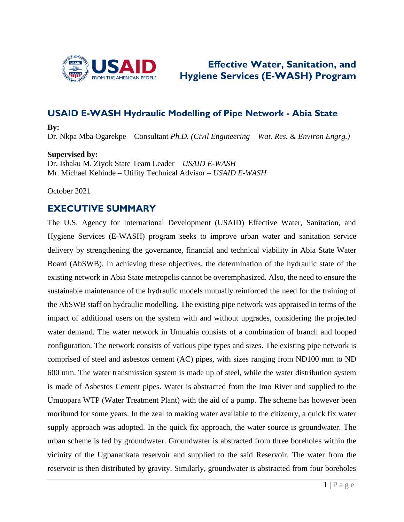

## **Effective Water, Sanitation, and Hygiene Services (E-WASH) Program**

## **USAID E-WASH Hydraulic Modelling of Pipe Network - Abia State**

**By:**  Dr. Nkpa Mba Ogarekpe – Consultant *Ph.D. (Civil Engineering – Wat. Res. & Environ Engrg.)*

**Supervised by:** Dr. Ishaku M. Ziyok State Team Leader – *USAID E-WASH* Mr. Michael Kehinde – Utility Technical Advisor – *USAID E-WASH*

October 2021

## **EXECUTIVE SUMMARY**

The U.S. Agency for International Development (USAID) Effective Water, Sanitation, and Hygiene Services (E-WASH) program seeks to improve urban water and sanitation service delivery by strengthening the governance, financial and technical viability in Abia State Water Board (AbSWB). In achieving these objectives, the determination of the hydraulic state of the existing network in Abia State metropolis cannot be overemphasized. Also, the need to ensure the sustainable maintenance of the hydraulic models mutually reinforced the need for the training of the AbSWB staff on hydraulic modelling. The existing pipe network was appraised in terms of the impact of additional users on the system with and without upgrades, considering the projected water demand. The water network in Umuahia consists of a combination of branch and looped configuration. The network consists of various pipe types and sizes. The existing pipe network is comprised of steel and asbestos cement (AC) pipes, with sizes ranging from ND100 mm to ND 600 mm. The water transmission system is made up of steel, while the water distribution system is made of Asbestos Cement pipes. Water is abstracted from the Imo River and supplied to the Umuopara WTP (Water Treatment Plant) with the aid of a pump. The scheme has however been moribund for some years. In the zeal to making water available to the citizenry, a quick fix water supply approach was adopted. In the quick fix approach, the water source is groundwater. The urban scheme is fed by groundwater. Groundwater is abstracted from three boreholes within the vicinity of the Ugbanankata reservoir and supplied to the said Reservoir. The water from the reservoir is then distributed by gravity. Similarly, groundwater is abstracted from four boreholes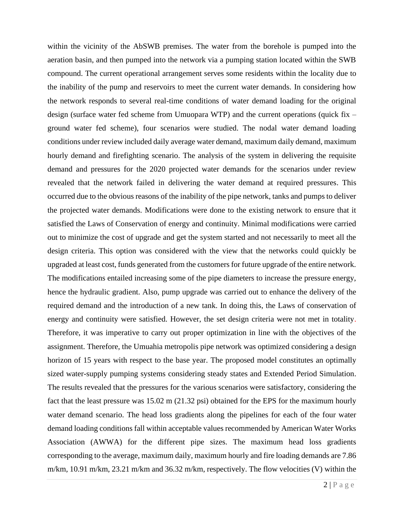within the vicinity of the AbSWB premises. The water from the borehole is pumped into the aeration basin, and then pumped into the network via a pumping station located within the SWB compound. The current operational arrangement serves some residents within the locality due to the inability of the pump and reservoirs to meet the current water demands. In considering how the network responds to several real-time conditions of water demand loading for the original design (surface water fed scheme from Umuopara WTP) and the current operations (quick fix – ground water fed scheme), four scenarios were studied. The nodal water demand loading conditions under review included daily average water demand, maximum daily demand, maximum hourly demand and firefighting scenario. The analysis of the system in delivering the requisite demand and pressures for the 2020 projected water demands for the scenarios under review revealed that the network failed in delivering the water demand at required pressures. This occurred due to the obvious reasons of the inability of the pipe network, tanks and pumps to deliver the projected water demands. Modifications were done to the existing network to ensure that it satisfied the Laws of Conservation of energy and continuity. Minimal modifications were carried out to minimize the cost of upgrade and get the system started and not necessarily to meet all the design criteria. This option was considered with the view that the networks could quickly be upgraded at least cost, funds generated from the customers for future upgrade of the entire network. The modifications entailed increasing some of the pipe diameters to increase the pressure energy, hence the hydraulic gradient. Also, pump upgrade was carried out to enhance the delivery of the required demand and the introduction of a new tank. In doing this, the Laws of conservation of energy and continuity were satisfied. However, the set design criteria were not met in totality. Therefore, it was imperative to carry out proper optimization in line with the objectives of the assignment. Therefore, the Umuahia metropolis pipe network was optimized considering a design horizon of 15 years with respect to the base year. The proposed model constitutes an optimally sized water-supply pumping systems considering steady states and Extended Period Simulation. The results revealed that the pressures for the various scenarios were satisfactory, considering the fact that the least pressure was 15.02 m (21.32 psi) obtained for the EPS for the maximum hourly water demand scenario. The head loss gradients along the pipelines for each of the four water demand loading conditions fall within acceptable values recommended by American Water Works Association (AWWA) for the different pipe sizes. The maximum head loss gradients corresponding to the average, maximum daily, maximum hourly and fire loading demands are 7.86 m/km, 10.91 m/km, 23.21 m/km and 36.32 m/km, respectively. The flow velocities (V) within the